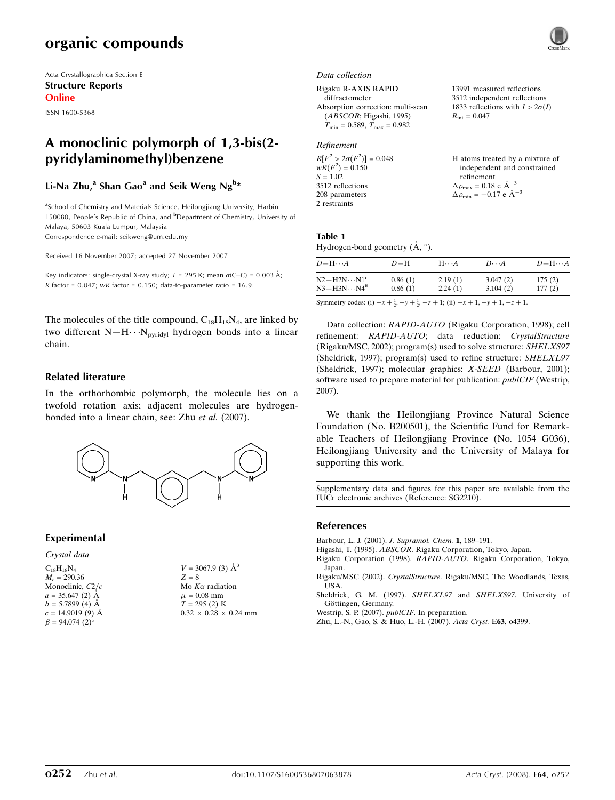# organic compounds

Acta Crystallographica Section E Structure Reports Online

ISSN 1600-5368

# A monoclinic polymorph of 1,3-bis(2 pyridylaminomethyl)benzene

# Li-Na Zhu,<sup>a</sup> Shan Gao<sup>a</sup> and Seik Weng Ng<sup>b</sup>\*

<sup>a</sup>School of Chemistry and Materials Science, Heilongjiang University, Harbin 150080, People's Republic of China, and <sup>b</sup>Department of Chemistry, University of Malaya, 50603 Kuala Lumpur, Malaysia Correspondence e-mail: seikweng@um.edu.my

Received 16 November 2007; accepted 27 November 2007

Key indicators: single-crystal X-ray study;  $T = 295$  K; mean  $\sigma$ (C–C) = 0.003 Å; R factor =  $0.047$ ; wR factor =  $0.150$ ; data-to-parameter ratio =  $16.9$ .

The molecules of the title compound,  $C_{18}H_{18}N_4$ , are linked by two different  $N-H\cdots N_{pyridyl}$  hydrogen bonds into a linear chain.

## Related literature

In the orthorhombic polymorph, the molecule lies on a twofold rotation axis; adjacent molecules are hydrogenbonded into a linear chain, see: Zhu et al. (2007).



 $\AA^3$ 

 $0.24$  mm

## Experimental

Crystal data

| $C_{18}H_{18}N_A$                 | $V = 3067.9$ (3) A            |
|-----------------------------------|-------------------------------|
| $M_r = 290.36$                    | $Z = 8$                       |
| Monoclinic, $C2/c$                | Mo $K\alpha$ radiation        |
| $a = 35.647$ (2) Å                | $\mu = 0.08$ mm <sup>-1</sup> |
| $b = 5.7899(4)$ Å                 | $T = 295(2)$ K                |
| $c = 14.9019(9)$ A                | $0.32 \times 0.28 \times 0.2$ |
| $\beta = 94.074$ (2) <sup>o</sup> |                               |

Data collection

Rigaku R-AXIS RAPID diffractometer Absorption correction: multi-scan (ABSCOR; Higashi, 1995)  $T_{\text{min}} = 0.589, T_{\text{max}} = 0.982$ 

## Refinement

| $R[F^2 > 2\sigma(F^2)] = 0.048$ |
|---------------------------------|
| $wR(F^2) = 0.150$               |
| $S = 1.02$                      |
| 3512 reflections                |
| 208 parameters                  |
| 2 restraints                    |

13991 measured reflections 3512 independent reflections 1833 reflections with  $I > 2\sigma(I)$  $R_{\text{int}} = 0.047$ 

| H atoms treated by a mixture of                       |
|-------------------------------------------------------|
| independent and constrained                           |
| refinement                                            |
| $\Delta \rho_{\text{max}} = 0.18$ e $\text{\AA}^{-3}$ |
| $\Delta \rho_{\text{min}} = -0.17$ e $\AA^{-3}$       |

#### Table 1 Hydrogen-bond geometry  $(\AA, \degree)$ .

| $D - H \cdots A$          | $D-H$   | $H \cdot \cdot \cdot A$ | $D\cdots A$ | $D - H \cdots A$ |
|---------------------------|---------|-------------------------|-------------|------------------|
| $N2 - H2N \cdots N1^i$    | 0.86(1) | 2.19(1)                 | 3.047(2)    | 175(2)           |
| $N3 - H3N \cdots N4^{ii}$ | 0.86(1) | 2.24(1)                 | 3.104(2)    | 177(2)           |

Symmetry codes: (i)  $-x + \frac{1}{2}$ ,  $-y + \frac{1}{2}$ ,  $-z + 1$ ; (ii)  $-x + 1$ ,  $-y + 1$ ,  $-z + 1$ .

Data collection: RAPID-AUTO (Rigaku Corporation, 1998); cell refinement: RAPID-AUTO; data reduction: CrystalStructure (Rigaku/MSC, 2002); program(s) used to solve structure: SHELXS97 (Sheldrick, 1997); program(s) used to refine structure: SHELXL97 (Sheldrick, 1997); molecular graphics: X-SEED (Barbour, 2001); software used to prepare material for publication: publCIF (Westrip, 2007).

We thank the Heilongjiang Province Natural Science Foundation (No. B200501), the Scientific Fund for Remarkable Teachers of Heilongjiang Province (No. 1054 G036), Heilongjiang University and the University of Malaya for supporting this work.

Supplementary data and figures for this paper are available from the IUCr electronic archives (Reference: SG2210).

#### References

- Barbour, L. J. (2001). J. Supramol. Chem. 1, 189–191.
- Higashi, T. (1995). ABSCOR. Rigaku Corporation, Tokyo, Japan.
- Rigaku Corporation (1998). RAPID-AUTO. Rigaku Corporation, Tokyo, Japan.
- Rigaku/MSC (2002). CrystalStructure. Rigaku/MSC, The Woodlands, Texas, USA.
- Sheldrick, G. M. (1997). SHELXL97 and SHELXS97. University of Göttingen, Germany.
- Westrip, S. P. (2007). publCIF. In preparation.
- Zhu, L.-N., Gao, S. & Huo, L.-H. (2007). Acta Cryst. E63, o4399.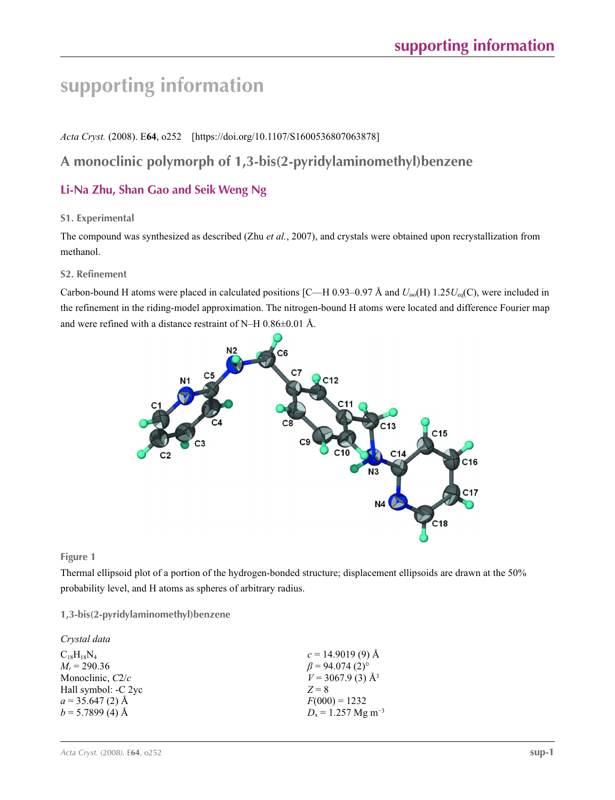# **supporting information**

*Acta Cryst.* (2008). E**64**, o252 [https://doi.org/10.1107/S1600536807063878]

# **A monoclinic polymorph of 1,3-bis(2-pyridylaminomethyl)benzene**

# **Li-Na Zhu, Shan Gao and Seik Weng Ng**

# **S1. Experimental**

The compound was synthesized as described (Zhu *et al.*, 2007), and crystals were obtained upon recrystallization from methanol.

## **S2. Refinement**

Carbon-bound H atoms were placed in calculated positions  $[C-H 0.93-0.97 \text{ Å}$  and  $U_{\text{iso}}(H) 1.25U_{\text{eq}}(C)$ , were included in the refinement in the riding-model approximation. The nitrogen-bound H atoms were located and difference Fourier map and were refined with a distance restraint of N–H 0.86±0.01 Å.



**Figure 1**

Thermal ellipsoid plot of a portion of the hydrogen-bonded structure; displacement ellipsoids are drawn at the 50% probability level, and H atoms as spheres of arbitrary radius.

# **1,3-bis(2-pyridylaminomethyl)benzene**

| Crystal data        |                                   |
|---------------------|-----------------------------------|
| $C_{18}H_{18}N_4$   | $c = 14.9019(9)$ Å                |
| $M_r = 290.36$      | $\beta$ = 94.074 (2) <sup>o</sup> |
| Monoclinic, $C2/c$  | $V = 3067.9$ (3) Å <sup>3</sup>   |
| Hall symbol: -C 2yc | $Z = 8$                           |
| $a = 35.647(2)$ Å   | $F(000) = 1232$                   |
| $b = 5.7899$ (4) Å  | $D_x = 1.257$ Mg m <sup>-3</sup>  |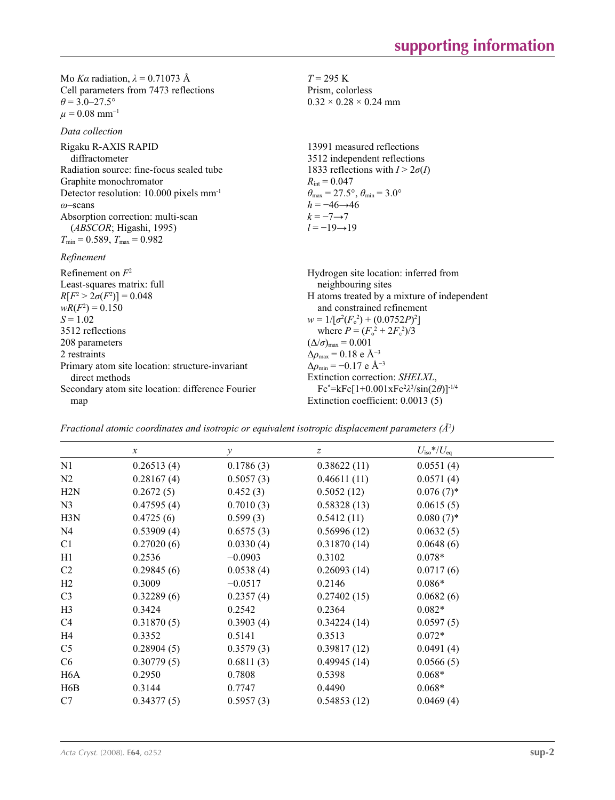Mo *Kα* radiation, *λ* = 0.71073 Å Cell parameters from 7473 reflections  $\theta = 3.0 - 27.5^{\circ}$  $\mu = 0.08$  mm<sup>-1</sup>

*Data collection*

| Data collection                                       |                                                                         |
|-------------------------------------------------------|-------------------------------------------------------------------------|
| Rigaku R-AXIS RAPID<br>diffractometer                 | 13991 measured reflections<br>3512 independent reflections              |
| Radiation source: fine-focus sealed tube              | 1833 reflections with $I > 2\sigma(I)$                                  |
| Graphite monochromator                                | $R_{\rm int} = 0.047$                                                   |
| Detector resolution: $10.000$ pixels mm <sup>-1</sup> | $\theta_{\text{max}} = 27.5^{\circ}, \theta_{\text{min}} = 3.0^{\circ}$ |
| $\omega$ -scans                                       | $h = -46 \rightarrow 46$                                                |
| Absorption correction: multi-scan                     | $k=-7 \rightarrow 7$                                                    |
| (ABSCOR; Higashi, 1995)                               | $l = -19 \rightarrow 19$                                                |
| $T_{\text{min}} = 0.589, T_{\text{max}} = 0.982$      |                                                                         |
| Refinement                                            |                                                                         |
| Refinement on $F^2$                                   | Hydrogen site location: inferred from                                   |
| Least-squares matrix: full                            | neighbouring sites                                                      |
| $R[F^2 > 2\sigma(F^2)] = 0.048$                       | H atoms treated by a mixture of independent                             |
| $wR(F^2) = 0.150$                                     | and constrained refinement                                              |
| $S = 1.02$                                            | $w = 1/[\sigma^2(F_0^2) + (0.0752P)^2]$                                 |
| 3512 reflections                                      | where $P = (F_o^2 + 2F_c^2)/3$                                          |
| 208 parameters                                        | $(\Delta/\sigma)_{\text{max}} = 0.001$                                  |
| 2 restraints                                          | $\Delta\rho_{\rm max} = 0.18$ e Å <sup>-3</sup>                         |
| Primary atom site location: structure-invariant       | $\Delta\rho_{\rm min} = -0.17$ e Å <sup>-3</sup>                        |
| direct methods                                        | Extinction correction: SHELXL,                                          |
| Secondary atom site location: difference Fourier      | $Fc^* = kFc[1+0.001xFc^2\lambda^3/sin(2\theta)]^{-1/4}$                 |
| map                                                   | Extinction coefficient: 0.0013 (5)                                      |

*T* = 295 K Prism, colorless  $0.32 \times 0.28 \times 0.24$  mm

*Fractional atomic coordinates and isotropic or equivalent isotropic displacement parameters (Å<sup>2</sup>)* 

|                  | $\boldsymbol{x}$ | $\mathcal{Y}$ | $\boldsymbol{Z}$ | $U_{\rm iso}*/U_{\rm eq}$ |  |
|------------------|------------------|---------------|------------------|---------------------------|--|
| N1               | 0.26513(4)       | 0.1786(3)     | 0.38622(11)      | 0.0551(4)                 |  |
| N2               | 0.28167(4)       | 0.5057(3)     | 0.46611(11)      | 0.0571(4)                 |  |
| H2N              | 0.2672(5)        | 0.452(3)      | 0.5052(12)       | $0.076(7)$ *              |  |
| N <sub>3</sub>   | 0.47595(4)       | 0.7010(3)     | 0.58328(13)      | 0.0615(5)                 |  |
| H3N              | 0.4725(6)        | 0.599(3)      | 0.5412(11)       | $0.080(7)$ *              |  |
| N <sub>4</sub>   | 0.53909(4)       | 0.6575(3)     | 0.56996(12)      | 0.0632(5)                 |  |
| C1               | 0.27020(6)       | 0.0330(4)     | 0.31870(14)      | 0.0648(6)                 |  |
| H1               | 0.2536           | $-0.0903$     | 0.3102           | $0.078*$                  |  |
| C <sub>2</sub>   | 0.29845(6)       | 0.0538(4)     | 0.26093(14)      | 0.0717(6)                 |  |
| H2               | 0.3009           | $-0.0517$     | 0.2146           | $0.086*$                  |  |
| C <sub>3</sub>   | 0.32289(6)       | 0.2357(4)     | 0.27402(15)      | 0.0682(6)                 |  |
| H3               | 0.3424           | 0.2542        | 0.2364           | $0.082*$                  |  |
| C4               | 0.31870(5)       | 0.3903(4)     | 0.34224(14)      | 0.0597(5)                 |  |
| H4               | 0.3352           | 0.5141        | 0.3513           | $0.072*$                  |  |
| C <sub>5</sub>   | 0.28904(5)       | 0.3579(3)     | 0.39817(12)      | 0.0491(4)                 |  |
| C <sub>6</sub>   | 0.30779(5)       | 0.6811(3)     | 0.49945(14)      | 0.0566(5)                 |  |
| H <sub>6</sub> A | 0.2950           | 0.7808        | 0.5398           | $0.068*$                  |  |
| H <sub>6</sub> B | 0.3144           | 0.7747        | 0.4490           | $0.068*$                  |  |
| C7               | 0.34377(5)       | 0.5957(3)     | 0.54853(12)      | 0.0469(4)                 |  |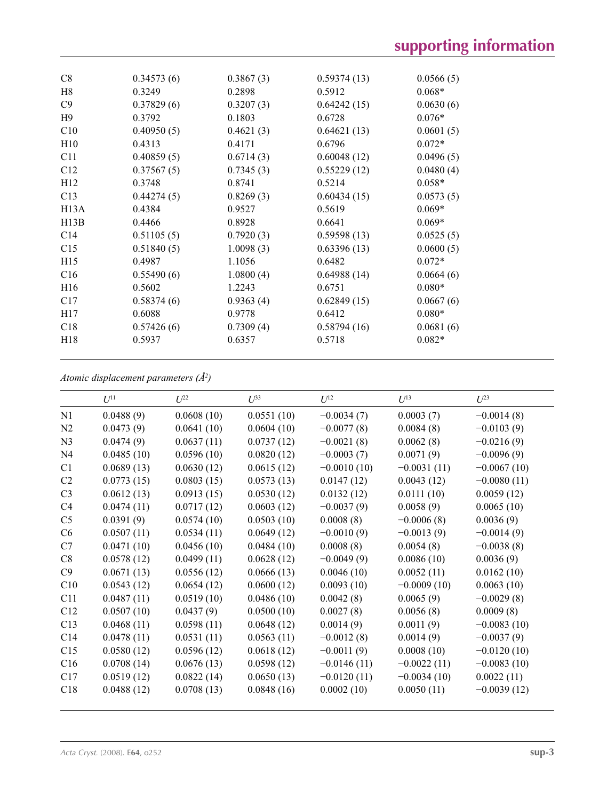| C8              | 0.34573(6) | 0.3867(3) | 0.59374(13) | 0.0566(5) |
|-----------------|------------|-----------|-------------|-----------|
| H8              | 0.3249     | 0.2898    | 0.5912      | $0.068*$  |
| C9              | 0.37829(6) | 0.3207(3) | 0.64242(15) | 0.0630(6) |
| H <sub>9</sub>  | 0.3792     | 0.1803    | 0.6728      | $0.076*$  |
| C10             | 0.40950(5) | 0.4621(3) | 0.64621(13) | 0.0601(5) |
| H10             | 0.4313     | 0.4171    | 0.6796      | $0.072*$  |
| C11             | 0.40859(5) | 0.6714(3) | 0.60048(12) | 0.0496(5) |
| C12             | 0.37567(5) | 0.7345(3) | 0.55229(12) | 0.0480(4) |
| H <sub>12</sub> | 0.3748     | 0.8741    | 0.5214      | $0.058*$  |
| C13             | 0.44274(5) | 0.8269(3) | 0.60434(15) | 0.0573(5) |
| H13A            | 0.4384     | 0.9527    | 0.5619      | $0.069*$  |
| H13B            | 0.4466     | 0.8928    | 0.6641      | $0.069*$  |
| C14             | 0.51105(5) | 0.7920(3) | 0.59598(13) | 0.0525(5) |
| C15             | 0.51840(5) | 1.0098(3) | 0.63396(13) | 0.0600(5) |
| H15             | 0.4987     | 1.1056    | 0.6482      | $0.072*$  |
| C16             | 0.55490(6) | 1.0800(4) | 0.64988(14) | 0.0664(6) |
| H <sub>16</sub> | 0.5602     | 1.2243    | 0.6751      | $0.080*$  |
| C17             | 0.58374(6) | 0.9363(4) | 0.62849(15) | 0.0667(6) |
| H17             | 0.6088     | 0.9778    | 0.6412      | $0.080*$  |
| C18             | 0.57426(6) | 0.7309(4) | 0.58794(16) | 0.0681(6) |
| H <sub>18</sub> | 0.5937     | 0.6357    | 0.5718      | $0.082*$  |
|                 |            |           |             |           |

*Atomic displacement parameters (Å2 )*

|                | $U^{11}$   | I/22       | $U^{33}$   | $U^{12}$      | $U^{13}$      | $U^{23}$      |
|----------------|------------|------------|------------|---------------|---------------|---------------|
| N1             | 0.0488(9)  | 0.0608(10) | 0.0551(10) | $-0.0034(7)$  | 0.0003(7)     | $-0.0014(8)$  |
| N2             | 0.0473(9)  | 0.0641(10) | 0.0604(10) | $-0.0077(8)$  | 0.0084(8)     | $-0.0103(9)$  |
| N <sub>3</sub> | 0.0474(9)  | 0.0637(11) | 0.0737(12) | $-0.0021(8)$  | 0.0062(8)     | $-0.0216(9)$  |
| N <sub>4</sub> | 0.0485(10) | 0.0596(10) | 0.0820(12) | $-0.0003(7)$  | 0.0071(9)     | $-0.0096(9)$  |
| C1             | 0.0689(13) | 0.0630(12) | 0.0615(12) | $-0.0010(10)$ | $-0.0031(11)$ | $-0.0067(10)$ |
| C <sub>2</sub> | 0.0773(15) | 0.0803(15) | 0.0573(13) | 0.0147(12)    | 0.0043(12)    | $-0.0080(11)$ |
| C <sub>3</sub> | 0.0612(13) | 0.0913(15) | 0.0530(12) | 0.0132(12)    | 0.0111(10)    | 0.0059(12)    |
| C <sub>4</sub> | 0.0474(11) | 0.0717(12) | 0.0603(12) | $-0.0037(9)$  | 0.0058(9)     | 0.0065(10)    |
| C <sub>5</sub> | 0.0391(9)  | 0.0574(10) | 0.0503(10) | 0.0008(8)     | $-0.0006(8)$  | 0.0036(9)     |
| C6             | 0.0507(11) | 0.0534(11) | 0.0649(12) | $-0.0010(9)$  | $-0.0013(9)$  | $-0.0014(9)$  |
| C7             | 0.0471(10) | 0.0456(10) | 0.0484(10) | 0.0008(8)     | 0.0054(8)     | $-0.0038(8)$  |
| C8             | 0.0578(12) | 0.0499(11) | 0.0628(12) | $-0.0049(9)$  | 0.0086(10)    | 0.0036(9)     |
| C9             | 0.0671(13) | 0.0556(12) | 0.0666(13) | 0.0046(10)    | 0.0052(11)    | 0.0162(10)    |
| C10            | 0.0543(12) | 0.0654(12) | 0.0600(12) | 0.0093(10)    | $-0.0009(10)$ | 0.0063(10)    |
| C11            | 0.0487(11) | 0.0519(10) | 0.0486(10) | 0.0042(8)     | 0.0065(9)     | $-0.0029(8)$  |
| C12            | 0.0507(10) | 0.0437(9)  | 0.0500(10) | 0.0027(8)     | 0.0056(8)     | 0.0009(8)     |
| C13            | 0.0468(11) | 0.0598(11) | 0.0648(12) | 0.0014(9)     | 0.0011(9)     | $-0.0083(10)$ |
| C14            | 0.0478(11) | 0.0531(11) | 0.0563(11) | $-0.0012(8)$  | 0.0014(9)     | $-0.0037(9)$  |
| C15            | 0.0580(12) | 0.0596(12) | 0.0618(12) | $-0.0011(9)$  | 0.0008(10)    | $-0.0120(10)$ |
| C16            | 0.0708(14) | 0.0676(13) | 0.0598(12) | $-0.0146(11)$ | $-0.0022(11)$ | $-0.0083(10)$ |
| C17            | 0.0519(12) | 0.0822(14) | 0.0650(13) | $-0.0120(11)$ | $-0.0034(10)$ | 0.0022(11)    |
| C18            | 0.0488(12) | 0.0708(13) | 0.0848(16) | 0.0002(10)    | 0.0050(11)    | $-0.0039(12)$ |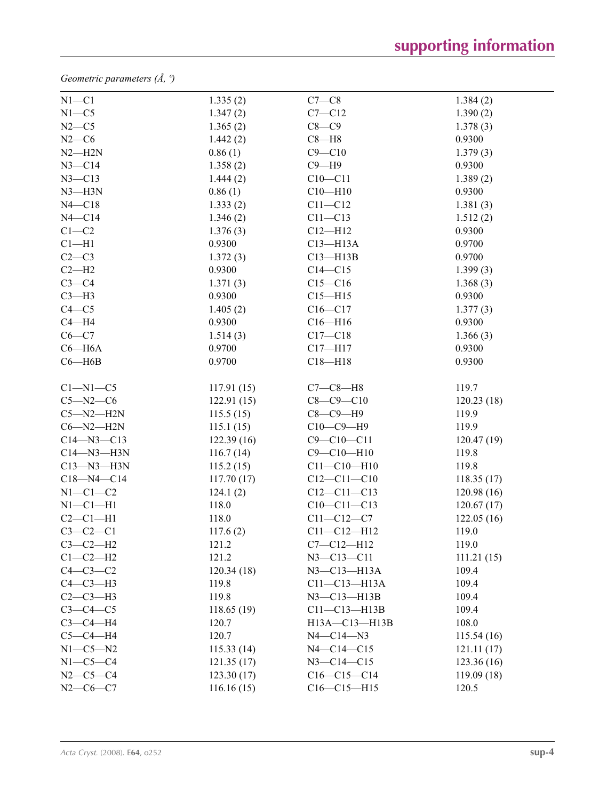*Geometric parameters (Å, º)*

| $N1 - C1$        | 1.335(2)   | $C7-C8$            | 1.384(2)   |
|------------------|------------|--------------------|------------|
| $N1 - C5$        | 1.347(2)   | $C7 - C12$         | 1.390(2)   |
| $N2-C5$          | 1.365(2)   | $C8-C9$            | 1.378(3)   |
| $N2-C6$          | 1.442(2)   | $C8 - H8$          | 0.9300     |
| $N2 - H2N$       | 0.86(1)    | $C9 - C10$         | 1.379(3)   |
| $N3 - C14$       | 1.358(2)   | $C9 - H9$          | 0.9300     |
| $N3 - C13$       | 1.444(2)   | $C10 - C11$        | 1.389(2)   |
| $N3 - H3N$       | 0.86(1)    | $C10 - H10$        | 0.9300     |
| $N4 - C18$       | 1.333(2)   | $C11 - C12$        | 1.381(3)   |
| $N4 - C14$       | 1.346(2)   | $C11 - C13$        | 1.512(2)   |
| $C1-C2$          | 1.376(3)   | $C12 - H12$        | 0.9300     |
| $Cl-H1$          | 0.9300     | $C13 - H13A$       | 0.9700     |
| $C2-C3$          | 1.372(3)   | $C13 - H13B$       | 0.9700     |
| $C2-H2$          | 0.9300     | $C14 - C15$        | 1.399(3)   |
| $C3-C4$          | 1.371(3)   | $C15 - C16$        | 1.368(3)   |
| $C3-H3$          | 0.9300     | $C15 - H15$        | 0.9300     |
| $C4 - C5$        | 1.405(2)   | $C16 - C17$        | 1.377(3)   |
| $C4 - H4$        | 0.9300     | $C16 - H16$        | 0.9300     |
| $C6 - C7$        | 1.514(3)   | $C17 - C18$        | 1.366(3)   |
| $C6 - H6A$       | 0.9700     | $C17 - H17$        | 0.9300     |
| $C6 - H6B$       | 0.9700     | $C18 - H18$        | 0.9300     |
| $Cl-M1-C5$       | 117.91(15) | $C7-C8-H8$         | 119.7      |
| $C5 - N2 - C6$   | 122.91(15) | $C8 - C9 - C10$    | 120.23(18) |
| $C5 - N2 - H2N$  | 115.5(15)  | $C8-C9-H9$         | 119.9      |
| $C6 - N2 - H2N$  | 115.1(15)  | $C10-C9-H9$        | 119.9      |
| $C14 - N3 - C13$ | 122.39(16) | $C9 - C10 - C11$   | 120.47(19) |
| $C14 - N3 - H3N$ | 116.7(14)  | $C9 - C10 - H10$   | 119.8      |
| $C13 - N3 - H3N$ | 115.2(15)  | $C11 - C10 - H10$  | 119.8      |
| $C18 - N4 - C14$ | 117.70(17) | $C12 - C11 - C10$  | 118.35(17) |
| $N1-C1-C2$       | 124.1(2)   | $C12 - C11 - C13$  | 120.98(16) |
| $N1-C1-H1$       | 118.0      | $C10-C11-C13$      | 120.67(17) |
| $C2-C1-H1$       | 118.0      | $C11 - C12 - C7$   | 122.05(16) |
| $C3-C2-C1$       | 117.6(2)   | $C11 - C12 - H12$  | 119.0      |
| $C3-C2-H2$       | 121.2      | $C7 - C12 - H12$   | 119.0      |
| $C1-C2-H2$       | 121.2      | $N3 - C13 - C11$   | 111.21(15) |
| $C4-C3-C2$       | 120.34(18) | $N3$ –C13–H13A     | 109.4      |
| $C4-C3-H3$       | 119.8      | $C11-C13-H13A$     | 109.4      |
| $C2-C3-H3$       | 119.8      | $N3 - C13 - H13B$  | 109.4      |
| $C3-C4-C5$       | 118.65(19) | $C11 - C13 - H13B$ | 109.4      |
| $C3-C4-H4$       | 120.7      | H13A-C13-H13B      | 108.0      |
| $C5-C4-H4$       | 120.7      | $N4 - C14 - N3$    | 115.54(16) |
| $N1 - C5 - N2$   | 115.33(14) | $N4 - C14 - C15$   | 121.11(17) |
| $N1-C5-C4$       | 121.35(17) | $N3 - C14 - C15$   | 123.36(16) |
| $N2 - C5 - C4$   | 123.30(17) | $C16-C15-C14$      | 119.09(18) |
| $N2-C6-C7$       | 116.16(15) | $C16-C15-H15$      | 120.5      |